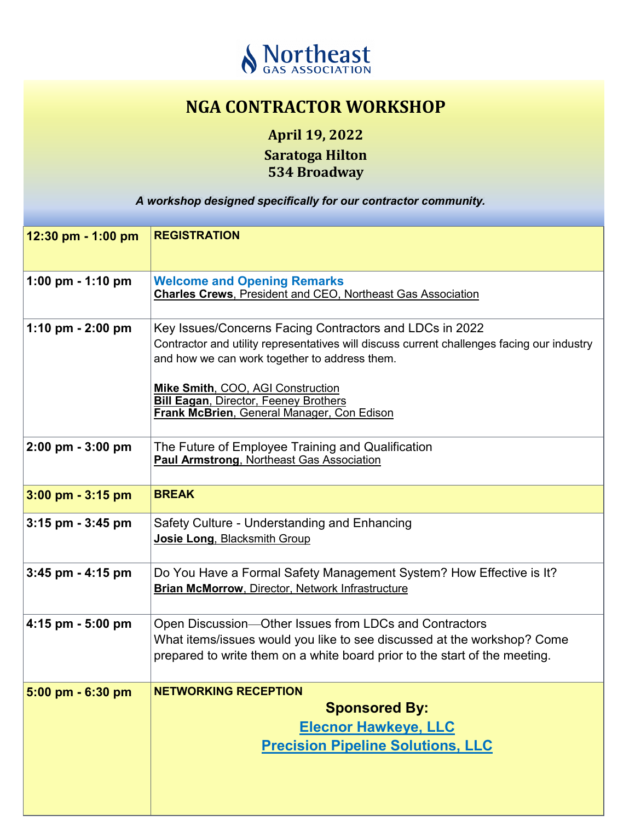

## **NGA CONTRACTOR WORKSHOP**

**April 19, 2022 Saratoga Hilton 534 Broadway**

*A workshop designed specifically for our contractor community. A workshop designed specifically for our contractor community.*

| 12:30 pm $-$ 1:00 pm                | <b>REGISTRATION</b>                                                                                                                                                                                             |
|-------------------------------------|-----------------------------------------------------------------------------------------------------------------------------------------------------------------------------------------------------------------|
| 1:00 pm $-$ 1:10 pm                 | <b>Welcome and Opening Remarks</b><br><b>Charles Crews, President and CEO, Northeast Gas Association</b>                                                                                                        |
| 1:10 pm $- 2:00$ pm                 | Key Issues/Concerns Facing Contractors and LDCs in 2022<br>Contractor and utility representatives will discuss current challenges facing our industry<br>and how we can work together to address them.          |
|                                     | Mike Smith, COO, AGI Construction<br><b>Bill Eagan, Director, Feeney Brothers</b><br>Frank McBrien, General Manager, Con Edison                                                                                 |
| $2:00 \text{ pm} - 3:00 \text{ pm}$ | The Future of Employee Training and Qualification<br><b>Paul Armstrong, Northeast Gas Association</b>                                                                                                           |
| $3:00$ pm $-3:15$ pm                | <b>BREAK</b>                                                                                                                                                                                                    |
| $3:15$ pm $-3:45$ pm                | Safety Culture - Understanding and Enhancing<br>Josie Long, Blacksmith Group                                                                                                                                    |
| $3:45$ pm $- 4:15$ pm               | Do You Have a Formal Safety Management System? How Effective is It?<br>Brian McMorrow, Director, Network Infrastructure                                                                                         |
| 4:15 pm $-5:00$ pm                  | Open Discussion—Other Issues from LDCs and Contractors<br>What items/issues would you like to see discussed at the workshop? Come<br>prepared to write them on a white board prior to the start of the meeting. |
| $5:00$ pm $-6:30$ pm                | <b>NETWORKING RECEPTION</b><br><b>Sponsored By:</b><br><b>Elecnor Hawkeye, LLC</b><br><b>Precision Pipeline Solutions, LLC</b>                                                                                  |